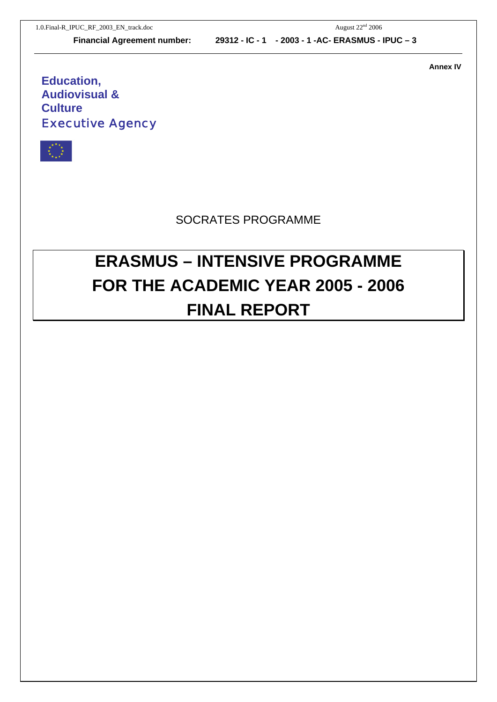**Annex IV** 

## **Education, Audiovisual & Culture**  Executive Agency



## SOCRATES PROGRAMME

# **ERASMUS – INTENSIVE PROGRAMME FOR THE ACADEMIC YEAR 2005 - 2006 FINAL REPORT**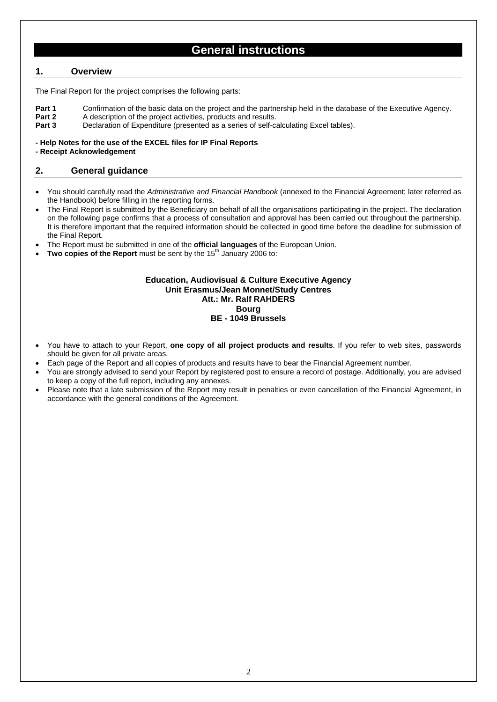### **General instructions**

#### **1. Overview**

The Final Report for the project comprises the following parts:

- **Part 1** Confirmation of the basic data on the project and the partnership held in the database of the Executive Agency.
- **Part 2** A description of the project activities, products and results.
- **Part 3** Declaration of Expenditure (presented as a series of self-calculating Excel tables).

#### **- Help Notes for the use of the EXCEL files for IP Final Reports**

**- Receipt Acknowledgement**

#### **2. General guidance**

- You should carefully read the *Administrative and Financial Handbook* (annexed to the Financial Agreement; later referred as the Handbook) before filling in the reporting forms.
- The Final Report is submitted by the Beneficiary on behalf of all the organisations participating in the project. The declaration on the following page confirms that a process of consultation and approval has been carried out throughout the partnership. It is therefore important that the required information should be collected in good time before the deadline for submission of the Final Report.
- The Report must be submitted in one of the **official languages** of the European Union.
- **Two copies of the Report** must be sent by the 15<sup>th</sup> January 2006 to:

#### **Education, Audiovisual & Culture Executive Agency Unit Erasmus/Jean Monnet/Study Centres Att.: Mr. Ralf RAHDERS Bourg BE - 1049 Brussels**

- You have to attach to your Report, **one copy of all project products and results**. If you refer to web sites, passwords should be given for all private areas.
- Each page of the Report and all copies of products and results have to bear the Financial Agreement number.
- You are strongly advised to send your Report by registered post to ensure a record of postage. Additionally, you are advised to keep a copy of the full report, including any annexes.
- Please note that a late submission of the Report may result in penalties or even cancellation of the Financial Agreement, in accordance with the general conditions of the Agreement.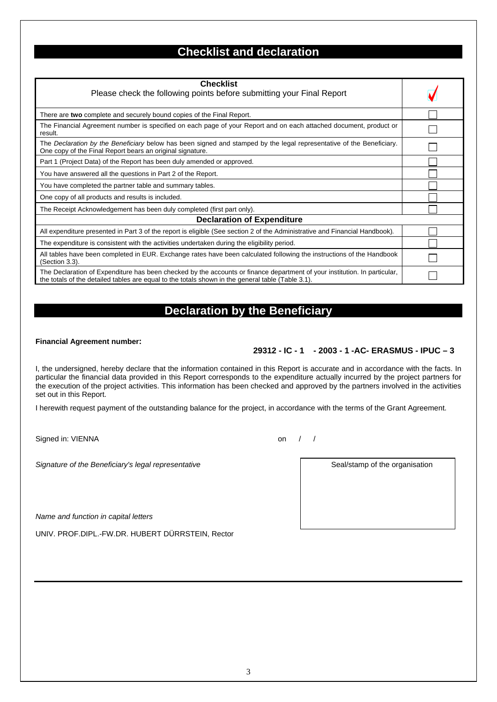## **Checklist and declaration**

| <b>Checklist</b>                                                                                                                                                                                                               |  |
|--------------------------------------------------------------------------------------------------------------------------------------------------------------------------------------------------------------------------------|--|
| Please check the following points before submitting your Final Report                                                                                                                                                          |  |
| There are two complete and securely bound copies of the Final Report.                                                                                                                                                          |  |
| The Financial Agreement number is specified on each page of your Report and on each attached document, product or<br>result.                                                                                                   |  |
| The Declaration by the Beneficiary below has been signed and stamped by the legal representative of the Beneficiary.<br>One copy of the Final Report bears an original signature.                                              |  |
| Part 1 (Project Data) of the Report has been duly amended or approved.                                                                                                                                                         |  |
| You have answered all the questions in Part 2 of the Report.                                                                                                                                                                   |  |
| You have completed the partner table and summary tables.                                                                                                                                                                       |  |
| One copy of all products and results is included.                                                                                                                                                                              |  |
| The Receipt Acknowledgement has been duly completed (first part only).                                                                                                                                                         |  |
| <b>Declaration of Expenditure</b>                                                                                                                                                                                              |  |
| All expenditure presented in Part 3 of the report is eligible (See section 2 of the Administrative and Financial Handbook).                                                                                                    |  |
| The expenditure is consistent with the activities undertaken during the eligibility period.                                                                                                                                    |  |
| All tables have been completed in EUR. Exchange rates have been calculated following the instructions of the Handbook<br>$(Section 3.3)$ .                                                                                     |  |
| The Declaration of Expenditure has been checked by the accounts or finance department of your institution. In particular,<br>the totals of the detailed tables are equal to the totals shown in the general table (Table 3.1). |  |

## **Declaration by the Beneficiary**

#### **Financial Agreement number:**

#### **29312 - IC - 1 - 2003 - 1 -AC- ERASMUS - IPUC – 3**

I, the undersigned, hereby declare that the information contained in this Report is accurate and in accordance with the facts. In particular the financial data provided in this Report corresponds to the expenditure actually incurred by the project partners for the execution of the project activities. This information has been checked and approved by the partners involved in the activities set out in this Report.

I herewith request payment of the outstanding balance for the project, in accordance with the terms of the Grant Agreement.

Signed in: VIENNA on  $/$  /

Signature of the Beneficiary's legal representative **Seal Access 1966** Seal/stamp of the organisation

*Name and function in capital letters* 

UNIV. PROF.DIPL.-FW.DR. HUBERT DÜRRSTEIN, Rector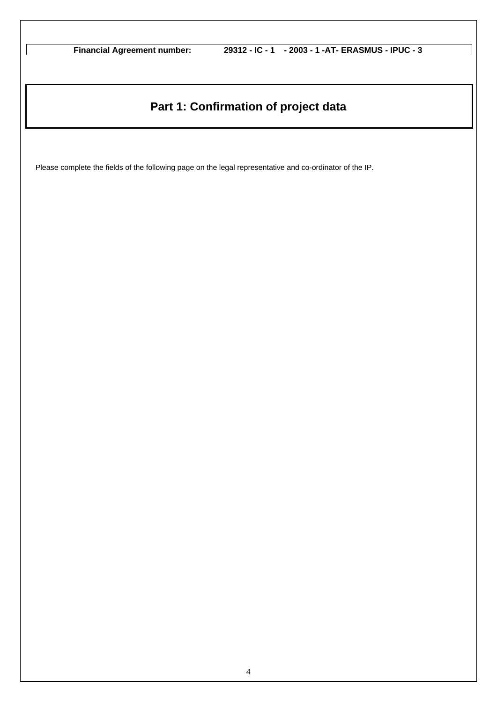# **Part 1: Confirmation of project data**

Please complete the fields of the following page on the legal representative and co-ordinator of the IP.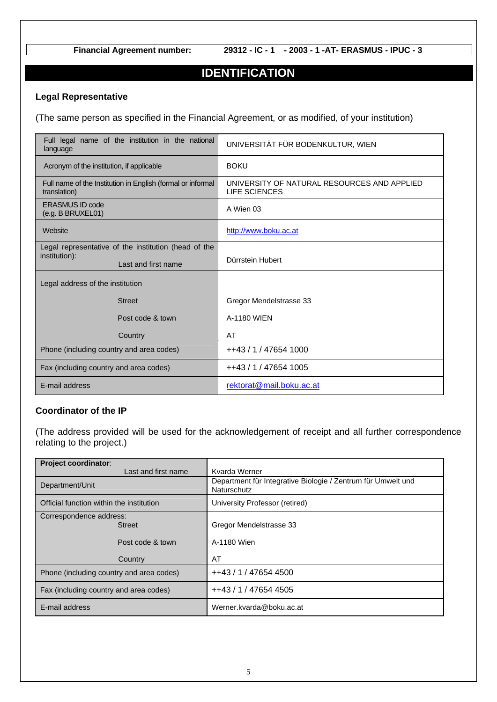### **IDENTIFICATION**

#### **Legal Representative**

(The same person as specified in the Financial Agreement, or as modified, of your institution)

| Full legal name of the institution in the national<br>language              | UNIVERSITÄT FÜR BODENKULTUR, WIEN                                   |
|-----------------------------------------------------------------------------|---------------------------------------------------------------------|
| Acronym of the institution, if applicable                                   | <b>BOKU</b>                                                         |
| Full name of the Institution in English (formal or informal<br>translation) | UNIVERSITY OF NATURAL RESOURCES AND APPLIED<br><b>LIFE SCIENCES</b> |
| <b>ERASMUS ID code</b><br>$(e.g.$ B BRUXEL01)                               | A Wien 03                                                           |
| Website                                                                     | http://www.boku.ac.at                                               |
| Legal representative of the institution (head of the                        |                                                                     |
| institution):<br>Last and first name                                        | Dürrstein Hubert                                                    |
| Legal address of the institution                                            |                                                                     |
| <b>Street</b>                                                               | Gregor Mendelstrasse 33                                             |
| Post code & town                                                            | A-1180 WIEN                                                         |
| Country                                                                     | AT                                                                  |
| Phone (including country and area codes)                                    | ++43 / 1 / 47654 1000                                               |
| Fax (including country and area codes)                                      | ++43 / 1 / 47654 1005                                               |
| E-mail address                                                              | rektorat@mail.boku.ac.at                                            |

#### **Coordinator of the IP**

(The address provided will be used for the acknowledgement of receipt and all further correspondence relating to the project.)

| Project coordinator:                     |                                                                             |
|------------------------------------------|-----------------------------------------------------------------------------|
| Last and first name                      | Kvarda Werner                                                               |
| Department/Unit                          | Department für Integrative Biologie / Zentrum für Umwelt und<br>Naturschutz |
| Official function within the institution | University Professor (retired)                                              |
| Correspondence address:                  |                                                                             |
| <b>Street</b>                            | Gregor Mendelstrasse 33                                                     |
|                                          |                                                                             |
| Post code & town                         | A-1180 Wien                                                                 |
|                                          |                                                                             |
| Country                                  | AT                                                                          |
| Phone (including country and area codes) | ++43 / 1 / 47654 4500                                                       |
| Fax (including country and area codes)   | ++43 / 1 / 47654 4505                                                       |
| E-mail address                           | Werner.kvarda@boku.ac.at                                                    |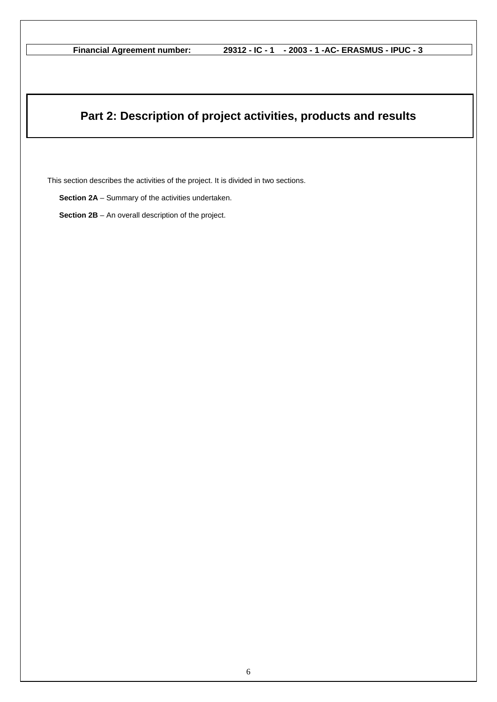## **Part 2: Description of project activities, products and results**

This section describes the activities of the project. It is divided in two sections.

**Section 2A** – Summary of the activities undertaken.

**Section 2B** – An overall description of the project.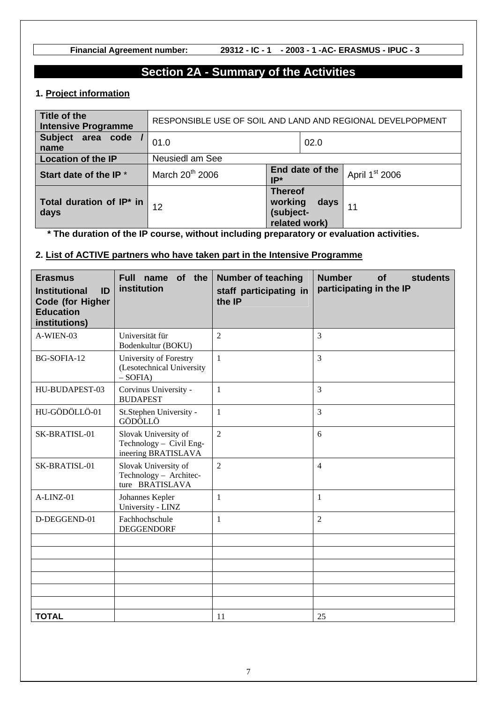## **Section 2A - Summary of the Activities**

#### **1. Project information**

| Title of the<br><b>Intensive Programme</b> | RESPONSIBLE USE OF SOIL AND LAND AND REGIONAL DEVELPOPMENT |                                                         |                 |                            |
|--------------------------------------------|------------------------------------------------------------|---------------------------------------------------------|-----------------|----------------------------|
| Subject area code<br>name                  | 01.0                                                       |                                                         | 02.0            |                            |
| <b>Location of the IP</b>                  | <b>Neusiedl am See</b>                                     |                                                         |                 |                            |
| Start date of the IP *                     | March 20 <sup>th</sup> 2006                                | IP*                                                     | End date of the | April 1 <sup>st</sup> 2006 |
| Total duration of IP* in<br>days           | 12                                                         | <b>Thereof</b><br>working<br>(subject-<br>related work) | days            | 11                         |

**\* The duration of the IP course, without including preparatory or evaluation activities.** 

### **2. List of ACTIVE partners who have taken part in the Intensive Programme**

| <b>Erasmus</b><br><b>Institutional</b><br>ID<br><b>Code (for Higher</b><br><b>Education</b><br>institutions) | of the<br>Full name<br>institution                                     | <b>Number of teaching</b><br>staff participating in<br>the IP | <b>Number</b><br><b>of</b><br><b>students</b><br>participating in the IP |
|--------------------------------------------------------------------------------------------------------------|------------------------------------------------------------------------|---------------------------------------------------------------|--------------------------------------------------------------------------|
| A-WIEN-03                                                                                                    | Universität für<br>Bodenkultur (BOKU)                                  | 2                                                             | $\overline{3}$                                                           |
| BG-SOFIA-12                                                                                                  | University of Forestry<br>(Lesotechnical University<br>$-$ SOFIA)      | $\mathbf{1}$                                                  | 3                                                                        |
| HU-BUDAPEST-03                                                                                               | Corvinus University -<br><b>BUDAPEST</b>                               | 1                                                             | 3                                                                        |
| HU-GÖDÖLLÖ-01                                                                                                | St.Stephen University -<br>GÖDÖLLÖ                                     | $\mathbf{1}$                                                  | 3                                                                        |
| SK-BRATISL-01                                                                                                | Slovak University of<br>Technology - Civil Eng-<br>ineering BRATISLAVA | $\overline{2}$                                                | 6                                                                        |
| SK-BRATISL-01                                                                                                | Slovak University of<br>Technology - Architec-<br>ture BRATISLAVA      | $\overline{2}$                                                | $\overline{4}$                                                           |
| A-LINZ-01                                                                                                    | Johannes Kepler<br>University - LINZ                                   | 1                                                             | 1                                                                        |
| D-DEGGEND-01                                                                                                 | Fachhochschule<br><b>DEGGENDORF</b>                                    | 1                                                             | $\overline{2}$                                                           |
|                                                                                                              |                                                                        |                                                               |                                                                          |
|                                                                                                              |                                                                        |                                                               |                                                                          |
|                                                                                                              |                                                                        |                                                               |                                                                          |
|                                                                                                              |                                                                        |                                                               |                                                                          |
|                                                                                                              |                                                                        |                                                               |                                                                          |
| <b>TOTAL</b>                                                                                                 |                                                                        | 11                                                            | 25                                                                       |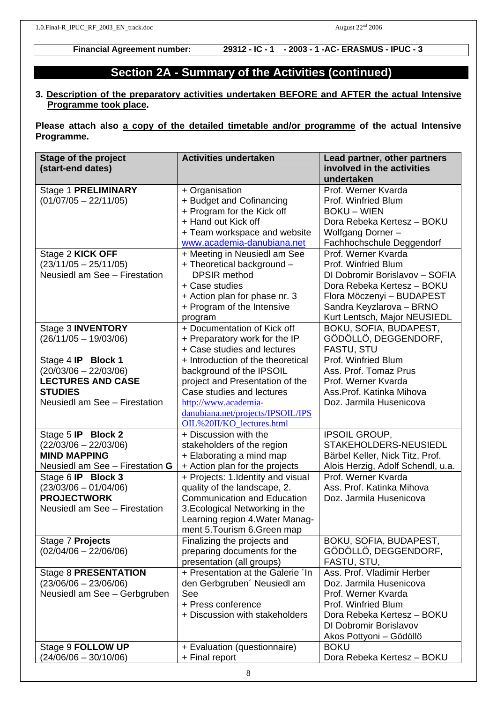### **Section 2A - Summary of the Activities (continued)**

#### **3. Description of the preparatory activities undertaken BEFORE and AFTER the actual Intensive Programme took place.**

**Please attach also a copy of the detailed timetable and/or programme of the actual Intensive Programme.** 

| <b>Stage of the project</b>     | <b>Activities undertaken</b>       | Lead partner, other partners      |
|---------------------------------|------------------------------------|-----------------------------------|
| (start-end dates)               |                                    | involved in the activities        |
|                                 |                                    | undertaken                        |
| <b>Stage 1 PRELIMINARY</b>      | + Organisation                     | Prof. Werner Kvarda               |
| $(01/07/05 - 22/11/05)$         | + Budget and Cofinancing           | Prof. Winfried Blum               |
|                                 | + Program for the Kick off         | <b>BOKU – WIEN</b>                |
|                                 | + Hand out Kick off                | Dora Rebeka Kertesz - BOKU        |
|                                 | + Team workspace and website       | Wolfgang Dorner-                  |
|                                 | www.academia-danubiana.net         | Fachhochschule Deggendorf         |
| Stage 2 KICK OFF                | + Meeting in Neusiedl am See       | Prof. Werner Kvarda               |
| $(23/11/05 - 25/11/05)$         | + Theoretical background -         | Prof. Winfried Blum               |
| Neusiedl am See - Firestation   | <b>DPSIR</b> method                | DI Dobromir Borislavov - SOFIA    |
|                                 | + Case studies                     | Dora Rebeka Kertesz – BOKU        |
|                                 | + Action plan for phase nr. 3      | Flora Möczenyi - BUDAPEST         |
|                                 | + Program of the Intensive         | Sandra Keyzlarova - BRNO          |
|                                 | program                            | Kurt Lentsch, Major NEUSIEDL      |
| Stage 3 <b>INVENTORY</b>        | + Documentation of Kick off        | BOKU, SOFIA, BUDAPEST,            |
| $(26/11/05 - 19/03/06)$         | + Preparatory work for the IP      | GÖDÖLLÖ, DEGGENDORF,              |
|                                 | + Case studies and lectures        | <b>FASTU, STU</b>                 |
| Stage 4 IP Block 1              | + Introduction of the theoretical  | Prof. Winfried Blum               |
| $(20/03/06 - 22/03/06)$         | background of the IPSOIL           | Ass. Prof. Tomaz Prus             |
| <b>LECTURES AND CASE</b>        | project and Presentation of the    | Prof. Werner Kvarda               |
| <b>STUDIES</b>                  | Case studies and lectures          | Ass. Prof. Katinka Mihova         |
| Neusiedl am See - Firestation   | http://www.academia-               | Doz. Jarmila Husenicova           |
|                                 | danubiana.net/projects/IPSOIL/IPS  |                                   |
|                                 | OIL%20II/KO_lectures.html          |                                   |
| Stage 5 IP Block 2              | + Discussion with the              | <b>IPSOIL GROUP,</b>              |
| $(22/03/06 - 22/03/06)$         | stakeholders of the region         | STAKEHOLDERS-NEUSIEDL             |
| <b>MIND MAPPING</b>             | + Elaborating a mind map           | Bärbel Keller, Nick Titz, Prof.   |
| Neusiedl am See - Firestation G | + Action plan for the projects     | Alois Herzig, Adolf Schendl, u.a. |
| Stage 6 IP Block 3              | + Projects: 1. Identity and visual | Prof. Werner Kvarda               |
| $(23/03/06 - 01/04/06)$         | quality of the landscape, 2.       | Ass. Prof. Katinka Mihova         |
| <b>PROJECTWORK</b>              | <b>Communication and Education</b> | Doz. Jarmila Husenicova           |
| Neusiedl am See - Firestation   | 3. Ecological Networking in the    |                                   |
|                                 | Learning region 4. Water Manag-    |                                   |
|                                 | ment 5. Tourism 6. Green map       |                                   |
| Stage 7 Projects                | Finalizing the projects and        | BOKU, SOFIA, BUDAPEST,            |
| $(02/04/06 - 22/06/06)$         | preparing documents for the        | GÖDÖLLÖ, DEGGENDORF,              |
|                                 | presentation (all groups)          | FASTU, STU,                       |
| <b>Stage 8 PRESENTATION</b>     | + Presentation at the Galerie 'In  | Ass. Prof. Vladimir Herber        |
| $(23/06/06 - 23/06/06)$         | den Gerbgruben' Neusiedl am        | Doz. Jarmila Husenicova           |
| Neusiedl am See - Gerbgruben    | See                                | Prof. Werner Kvarda               |
|                                 | + Press conference                 | Prof. Winfried Blum               |
|                                 | + Discussion with stakeholders     | Dora Rebeka Kertesz – BOKU        |
|                                 |                                    | <b>DI Dobromir Borislavov</b>     |
|                                 |                                    | Akos Pottyoni - Gödöllö           |
| Stage 9 FOLLOW UP               | + Evaluation (questionnaire)       | <b>BOKU</b>                       |
| $(24/06/06 - 30/10/06)$         | + Final report                     | Dora Rebeka Kertesz – BOKU        |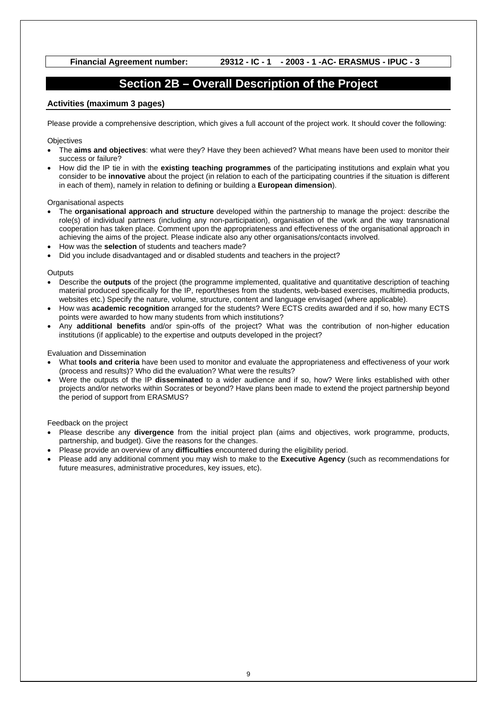### **Section 2B – Overall Description of the Project**

#### **Activities (maximum 3 pages)**

Please provide a comprehensive description, which gives a full account of the project work. It should cover the following:

**Objectives** 

- The **aims and objectives**: what were they? Have they been achieved? What means have been used to monitor their success or failure?
- How did the IP tie in with the **existing teaching programmes** of the participating institutions and explain what you consider to be **innovative** about the project (in relation to each of the participating countries if the situation is different in each of them), namely in relation to defining or building a **European dimension**).

#### Organisational aspects

- The **organisational approach and structure** developed within the partnership to manage the project: describe the role(s) of individual partners (including any non-participation), organisation of the work and the way transnational cooperation has taken place. Comment upon the appropriateness and effectiveness of the organisational approach in achieving the aims of the project. Please indicate also any other organisations/contacts involved.
- How was the **selection** of students and teachers made?
- Did you include disadvantaged and or disabled students and teachers in the project?

#### **Outputs**

- Describe the **outputs** of the project (the programme implemented, qualitative and quantitative description of teaching material produced specifically for the IP, report/theses from the students, web-based exercises, multimedia products, websites etc.) Specify the nature, volume, structure, content and language envisaged (where applicable).
- How was **academic recognition** arranged for the students? Were ECTS credits awarded and if so, how many ECTS points were awarded to how many students from which institutions?
- Any **additional benefits** and/or spin-offs of the project? What was the contribution of non-higher education institutions (if applicable) to the expertise and outputs developed in the project?

#### Evaluation and Dissemination

- What **tools and criteria** have been used to monitor and evaluate the appropriateness and effectiveness of your work (process and results)? Who did the evaluation? What were the results?
- Were the outputs of the IP **disseminated** to a wider audience and if so, how? Were links established with other projects and/or networks within Socrates or beyond? Have plans been made to extend the project partnership beyond the period of support from ERASMUS?

#### Feedback on the project

- Please describe any **divergence** from the initial project plan (aims and objectives, work programme, products, partnership, and budget). Give the reasons for the changes.
- Please provide an overview of any **difficulties** encountered during the eligibility period.
- Please add any additional comment you may wish to make to the **Executive Agency** (such as recommendations for future measures, administrative procedures, key issues, etc).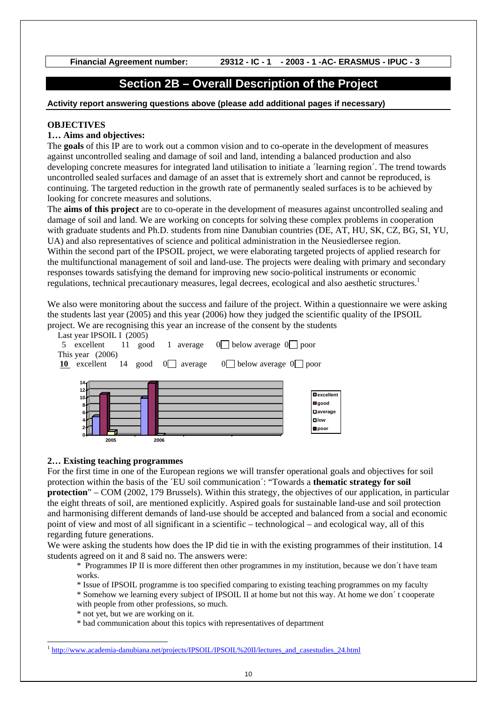### **Section 2B – Overall Description of the Project**

#### **Activity report answering questions above (please add additional pages if necessary)**

#### **OBJECTIVES**

#### **1… Aims and objectives:**

The **goals** of this IP are to work out a common vision and to co-operate in the development of measures against uncontrolled sealing and damage of soil and land, intending a balanced production and also developing concrete measures for integrated land utilisation to initiate a ´learning region´. The trend towards uncontrolled sealed surfaces and damage of an asset that is extremely short and cannot be reproduced, is continuing. The targeted reduction in the growth rate of permanently sealed surfaces is to be achieved by looking for concrete measures and solutions.

The **aims of this project** are to co-operate in the development of measures against uncontrolled sealing and damage of soil and land. We are working on concepts for solving these complex problems in cooperation with graduate students and Ph.D. students from nine Danubian countries (DE, AT, HU, SK, CZ, BG, SI, YU, UA) and also representatives of science and political administration in the Neusiedlersee region. Within the second part of the IPSOIL project, we were elaborating targeted projects of applied research for the multifunctional management of soil and land-use. The projects were dealing with primary and secondary responses towards satisfying the demand for improving new socio-political instruments or economic regulations, technical precautionary measures, legal decrees, ecological and also aesthetic structures.<sup>1</sup>

We also were monitoring about the success and failure of the project. Within a questionnaire we were asking the students last year (2005) and this year (2006) how they judged the scientific quality of the IPSOIL project. We are recognising this year an increase of the consent by the students



#### **2… Existing teaching programmes**

For the first time in one of the European regions we will transfer operational goals and objectives for soil protection within the basis of the ´EU soil communication´: "Towards a **thematic strategy for soil protection**" – COM (2002, 179 Brussels). Within this strategy, the objectives of our application, in particular the eight threats of soil, are mentioned explicitly. Aspired goals for sustainable land-use and soil protection and harmonising different demands of land-use should be accepted and balanced from a social and economic point of view and most of all significant in a scientific – technological – and ecological way, all of this regarding future generations.

We were asking the students how does the IP did tie in with the existing programmes of their institution. 14 students agreed on it and 8 said no. The answers were:

\* Programmes IP II is more different then other programmes in my institution, because we don´t have team works.

- \* Issue of IPSOIL programme is too specified comparing to existing teaching programmes on my faculty
- \* Somehow we learning every subject of IPSOIL II at home but not this way. At home we don´ t cooperate with people from other professions, so much.
- \* not yet, but we are working on it.

 $\overline{\phantom{a}}$ 

\* bad communication about this topics with representatives of department

<sup>&</sup>lt;sup>1</sup> http://www.academia-danubiana.net/projects/IPSOIL/IPSOIL%20II/lectures\_and\_casestudies\_24.html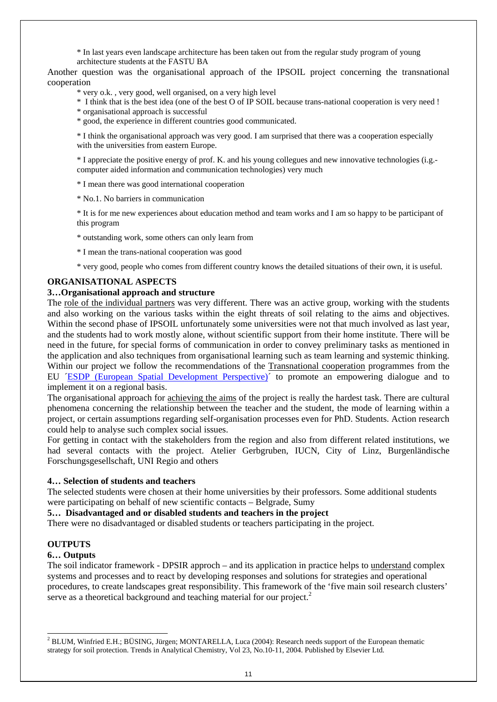\* In last years even landscape architecture has been taken out from the regular study program of young architecture students at the FASTU BA

Another question was the organisational approach of the IPSOIL project concerning the transnational cooperation

\* very o.k. , very good, well organised, on a very high level

\* I think that is the best idea (one of the best O of IP SOIL because trans-national cooperation is very need !

\* organisational approach is successful

\* good, the experience in different countries good communicated.

\* I think the organisational approach was very good. I am surprised that there was a cooperation especially with the universities from eastern Europe.

\* I appreciate the positive energy of prof. K. and his young collegues and new innovative technologies (i.g. computer aided information and communication technologies) very much

\* I mean there was good international cooperation

\* No.1. No barriers in communication

\* It is for me new experiences about education method and team works and I am so happy to be participant of this program

\* outstanding work, some others can only learn from

\* I mean the trans-national cooperation was good

\* very good, people who comes from different country knows the detailed situations of their own, it is useful.

#### **ORGANISATIONAL ASPECTS**

#### **3…Organisational approach and structure**

The role of the individual partners was very different. There was an active group, working with the students and also working on the various tasks within the eight threats of soil relating to the aims and objectives. Within the second phase of IPSOIL unfortunately some universities were not that much involved as last year, and the students had to work mostly alone, without scientific support from their home institute. There will be need in the future, for special forms of communication in order to convey preliminary tasks as mentioned in the application and also techniques from organisational learning such as team learning and systemic thinking. Within our project we follow the recommendations of the Transnational cooperation programmes from the EU ´ESDP (European Spatial Development Perspective)´ to promote an empowering dialogue and to implement it on a regional basis.

The organisational approach for achieving the aims of the project is really the hardest task. There are cultural phenomena concerning the relationship between the teacher and the student, the mode of learning within a project, or certain assumptions regarding self-organisation processes even for PhD. Students. Action research could help to analyse such complex social issues.

For getting in contact with the stakeholders from the region and also from different related institutions, we had several contacts with the project. Atelier Gerbgruben, IUCN, City of Linz, Burgenländische Forschungsgesellschaft, UNI Regio and others

#### **4… Selection of students and teachers**

The selected students were chosen at their home universities by their professors. Some additional students were participating on behalf of new scientific contacts – Belgrade, Sumy

**5… Disadvantaged and or disabled students and teachers in the project** 

There were no disadvantaged or disabled students or teachers participating in the project.

#### **OUTPUTS**

#### **6… Outputs**

The soil indicator framework - DPSIR approch – and its application in practice helps to understand complex systems and processes and to react by developing responses and solutions for strategies and operational procedures, to create landscapes great responsibility. This framework of the 'five main soil research clusters' serve as a theoretical background and teaching material for our project.<sup>2</sup>

<sup>&</sup>lt;sup>2</sup> BLUM, Winfried E.H.; BÜSING, Jürgen; MONTARELLA, Luca (2004): Research needs support of the European thematic strategy for soil protection. Trends in Analytical Chemistry, Vol 23, No.10-11, 2004. Published by Elsevier Ltd.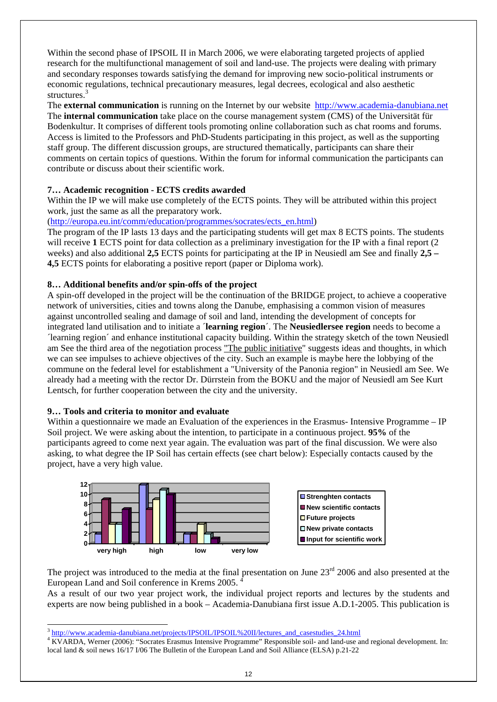Within the second phase of IPSOIL II in March 2006, we were elaborating targeted projects of applied research for the multifunctional management of soil and land-use. The projects were dealing with primary and secondary responses towards satisfying the demand for improving new socio-political instruments or economic regulations, technical precautionary measures, legal decrees, ecological and also aesthetic structures.<sup>3</sup>

The **external communication** is running on the Internet by our website http://www.academia-danubiana.net The **internal communication** take place on the course management system (CMS) of the Universität für Bodenkultur. It comprises of different tools promoting online collaboration such as chat rooms and forums. Access is limited to the Professors and PhD-Students participating in this project, as well as the supporting staff group. The different discussion groups, are structured thematically, participants can share their comments on certain topics of questions. Within the forum for informal communication the participants can contribute or discuss about their scientific work.

### **7… Academic recognition - ECTS credits awarded**

Within the IP we will make use completely of the ECTS points. They will be attributed within this project work, just the same as all the preparatory work.

(http://europa.eu.int/comm/education/programmes/socrates/ects\_en.html)

The program of the IP lasts 13 days and the participating students will get max 8 ECTS points. The students will receive 1 ECTS point for data collection as a preliminary investigation for the IP with a final report (2) weeks) and also additional **2,5** ECTS points for participating at the IP in Neusiedl am See and finally **2,5 – 4,5** ECTS points for elaborating a positive report (paper or Diploma work).

### **8… Additional benefits and/or spin-offs of the project**

A spin-off developed in the project will be the continuation of the BRIDGE project, to achieve a cooperative network of universities, cities and towns along the Danube, emphasising a common vision of measures against uncontrolled sealing and damage of soil and land, intending the development of concepts for integrated land utilisation and to initiate a ´**learning region**´. The **Neusiedlersee region** needs to become a ´learning region´ and enhance institutional capacity building. Within the strategy sketch of the town Neusiedl am See the third area of the negotiation process "The public initiative" suggests ideas and thoughts, in which we can see impulses to achieve objectives of the city. Such an example is maybe here the lobbying of the commune on the federal level for establishment a "University of the Panonia region" in Neusiedl am See. We already had a meeting with the rector Dr. Dürrstein from the BOKU and the major of Neusiedl am See Kurt Lentsch, for further cooperation between the city and the university.

#### **9… Tools and criteria to monitor and evaluate**

Within a questionnaire we made an Evaluation of the experiences in the Erasmus- Intensive Programme – IP Soil project. We were asking about the intention, to participate in a continuous project. **95%** of the participants agreed to come next year again. The evaluation was part of the final discussion. We were also asking, to what degree the IP Soil has certain effects (see chart below): Especially contacts caused by the project, have a very high value.



The project was introduced to the media at the final presentation on June 23<sup>rd</sup> 2006 and also presented at the European Land and Soil conference in Krems 2005. 4

As a result of our two year project work, the individual project reports and lectures by the students and experts are now being published in a book – Academia-Danubiana first issue A.D.1-2005. This publication is

 $\overline{\phantom{a}}$ http://www.academia-danubiana.net/projects/IPSOIL/IPSOIL%20II/lectures\_and\_casestudies\_24.html

KVARDA, Werner (2006): "Socrates Erasmus Intensive Programme" Responsible soil- and land-use and regional development. In: local land & soil news 16/17 I/06 The Bulletin of the European Land and Soil Alliance (ELSA) p.21-22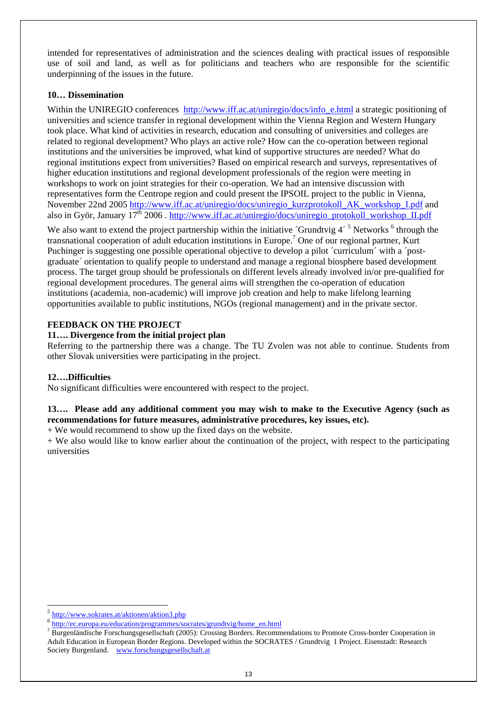intended for representatives of administration and the sciences dealing with practical issues of responsible use of soil and land, as well as for politicians and teachers who are responsible for the scientific underpinning of the issues in the future.

#### **10… Dissemination**

Within the UNIREGIO conferences http://www.iff.ac.at/uniregio/docs/info\_e.html a strategic positioning of universities and science transfer in regional development within the Vienna Region and Western Hungary took place. What kind of activities in research, education and consulting of universities and colleges are related to regional development? Who plays an active role? How can the co-operation between regional institutions and the universities be improved, what kind of supportive structures are needed? What do regional institutions expect from universities? Based on empirical research and surveys, representatives of higher education institutions and regional development professionals of the region were meeting in workshops to work on joint strategies for their co-operation. We had an intensive discussion with representatives form the Centrope region and could present the IPSOIL project to the public in Vienna, November 22nd 2005 http://www.iff.ac.at/uniregio/docs/uniregio\_kurzprotokoll\_AK\_workshop\_I.pdf and also in Györ, January  $17<sup>th</sup> 2006$ . http://www.iff.ac.at/uniregio/docs/uniregio\_protokoll\_workshop\_II.pdf

We also want to extend the project partnership within the initiative 'Grundtvig  $4<sup>5</sup>$  Networks  $^6$  through the transnational cooperation of adult education institutions in Europe.<sup>7</sup> One of our regional partner, Kurt Puchinger is suggesting one possible operational objective to develop a pilot 'curriculum' with a 'postgraduate´ orientation to qualify people to understand and manage a regional biosphere based development process. The target group should be professionals on different levels already involved in/or pre-qualified for regional development procedures. The general aims will strengthen the co-operation of education institutions (academia, non-academic) will improve job creation and help to make lifelong learning opportunities available to public institutions, NGOs (regional management) and in the private sector.

#### **FEEDBACK ON THE PROJECT**

#### **11…. Divergence from the initial project plan**

Referring to the partnership there was a change. The TU Zvolen was not able to continue. Students from other Slovak universities were participating in the project.

#### **12….Difficulties**

No significant difficulties were encountered with respect to the project.

#### **13…. Please add any additional comment you may wish to make to the Executive Agency (such as recommendations for future measures, administrative procedures, key issues, etc).**

+ We would recommend to show up the fixed days on the website.

+ We also would like to know earlier about the continuation of the project, with respect to the participating universities

 $\overline{a}$ 

http://www.sokrates.at/aktionen/aktion3.php<br>http://ec.europa.eu/education/programmes/socrates/grundtvig/home\_en.html

Burgenländische Forschungsgesellschaft (2005): Crossing Borders. Recommendations to Promote Cross-border Cooperation in Adult Education in European Border Regions. Developed within the SOCRATES / Grundtvig 1 Project. Eisenstadt: Research Society Burgenland. www.forschungsgesellschaft.at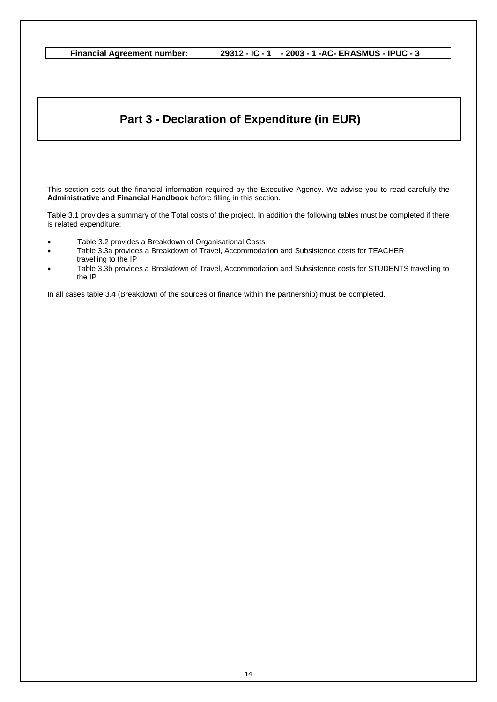## **Part 3 - Declaration of Expenditure (in EUR)**

This section sets out the financial information required by the Executive Agency. We advise you to read carefully the **Administrative and Financial Handbook** before filling in this section.

Table 3.1 provides a summary of the Total costs of the project. In addition the following tables must be completed if there is related expenditure:

- Table 3.2 provides a Breakdown of Organisational Costs
- Table 3.3a provides a Breakdown of Travel, Accommodation and Subsistence costs for TEACHER travelling to the IP
- Table 3.3b provides a Breakdown of Travel, Accommodation and Subsistence costs for STUDENTS travelling to the IP

In all cases table 3.4 (Breakdown of the sources of finance within the partnership) must be completed.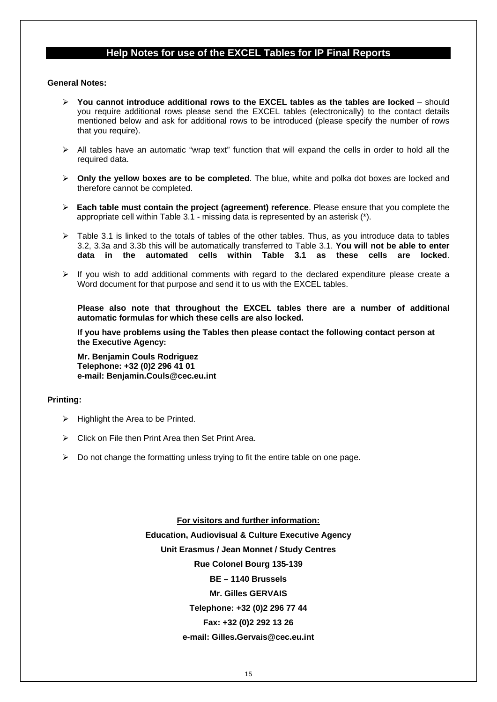### **Help Notes for use of the EXCEL Tables for IP Final Reports**

#### **General Notes:**

- ¾ **You cannot introduce additional rows to the EXCEL tables as the tables are locked**  should you require additional rows please send the EXCEL tables (electronically) to the contact details mentioned below and ask for additional rows to be introduced (please specify the number of rows that you require).
- $\triangleright$  All tables have an automatic "wrap text" function that will expand the cells in order to hold all the required data.
- ¾ **Only the yellow boxes are to be completed**. The blue, white and polka dot boxes are locked and therefore cannot be completed.
- ¾ **Each table must contain the project (agreement) reference**. Please ensure that you complete the appropriate cell within Table 3.1 - missing data is represented by an asterisk (\*).
- $\geq$  Table 3.1 is linked to the totals of tables of the other tables. Thus, as you introduce data to tables 3.2, 3.3a and 3.3b this will be automatically transferred to Table 3.1. **You will not be able to enter data in the automated cells within Table 3.1 as these cells are locked**.
- $\triangleright$  If you wish to add additional comments with regard to the declared expenditure please create a Word document for that purpose and send it to us with the EXCEL tables.

**Please also note that throughout the EXCEL tables there are a number of additional automatic formulas for which these cells are also locked.** 

**If you have problems using the Tables then please contact the following contact person at the Executive Agency:** 

**Mr. Benjamin Couls Rodriguez Telephone: +32 (0)2 296 41 01 e-mail: Benjamin.Couls@cec.eu.int** 

#### **Printing:**

- $\triangleright$  Highlight the Area to be Printed.
- $\triangleright$  Click on File then Print Area then Set Print Area.
- $\triangleright$  Do not change the formatting unless trying to fit the entire table on one page.

**For visitors and further information: Education, Audiovisual & Culture Executive Agency Unit Erasmus / Jean Monnet / Study Centres Rue Colonel Bourg 135-139 BE – 1140 Brussels Mr. Gilles GERVAIS Telephone: +32 (0)2 296 77 44 Fax: +32 (0)2 292 13 26 e-mail: Gilles.Gervais@cec.eu.int**